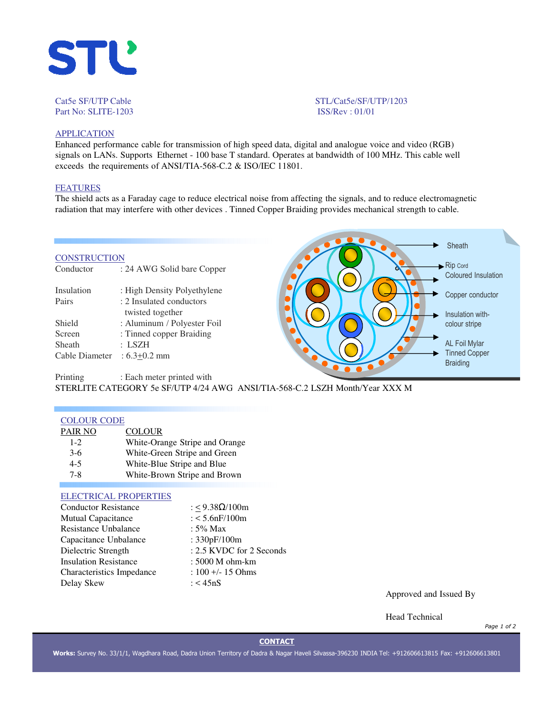

Cat5e SF/UTP Cable STL/Cat5e/SF/UTP/1203 Part No: SLITE-1203 ISS/Rev : 01/01

# **APPLICATION**

Enhanced performance cable for transmission of high speed data, digital and analogue voice and video (RGB) signals on LANs. Supports Ethernet - 100 base T standard. Operates at bandwidth of 100 MHz. This cable well exceeds the requirements of ANSI/TIA-568-C.2 & ISO/IEC 11801.

# FEATURES

The shield acts as a Faraday cage to reduce electrical noise from affecting the signals, and to reduce electromagnetic radiation that may interfere with other devices . Tinned Copper Braiding provides mechanical strength to cable.

#### **CONSTRUCTION**

| Conductor      | : 24 AWG Solid bare Copper  |
|----------------|-----------------------------|
| Insulation     | : High Density Polyethylene |
| Pairs          | : 2 Insulated conductors    |
|                | twisted together            |
| Shield         | : Aluminum / Polyester Foil |
| Screen         | : Tinned copper Braiding    |
| Sheath         | : LSZH                      |
| Cable Diameter | $:6.3+0.2$ mm               |
|                |                             |



Printing : Each meter printed with STERLITE CATEGORY 5e SF/UTP 4/24 AWG ANSI/TIA-568-C.2 LSZH Month/Year XXX M

#### COLOUR CODE

| PAIR NO | <b>COLOUR</b>                  |
|---------|--------------------------------|
| $1 - 2$ | White-Orange Stripe and Orange |
| $3-6$   | White-Green Stripe and Green   |
| $4 - 5$ | White-Blue Stripe and Blue     |
| $7 - 8$ | White-Brown Stripe and Brown   |

#### ELECTRICAL PROPERTIES

| <b>Conductor Resistance</b>  | : < $9.38\Omega/100m$    |
|------------------------------|--------------------------|
| <b>Mutual Capacitance</b>    | $: < 5.6$ n $F/100$ m    |
| <b>Resistance Unbalance</b>  | : $5\%$ Max              |
| Capacitance Unbalance        | : 330pF/100m             |
| Dielectric Strength          | : 2.5 KVDC for 2 Seconds |
| <b>Insulation Resistance</b> | : 5000 M ohm-km          |
| Characteristics Impedance    | $: 100 + - 15$ Ohms      |
| Delay Skew                   | : $<$ 45nS               |
|                              |                          |

Approved and Issued By

Head Technical

*Page 1 of 2*

## **CONTACT**

**Works:** Survey No. 33/1/1, Wagdhara Road, Dadra Union Territory of Dadra & Nagar Haveli Silvassa-396230 INDIA Tel: +912606613815 Fax: +912606613801